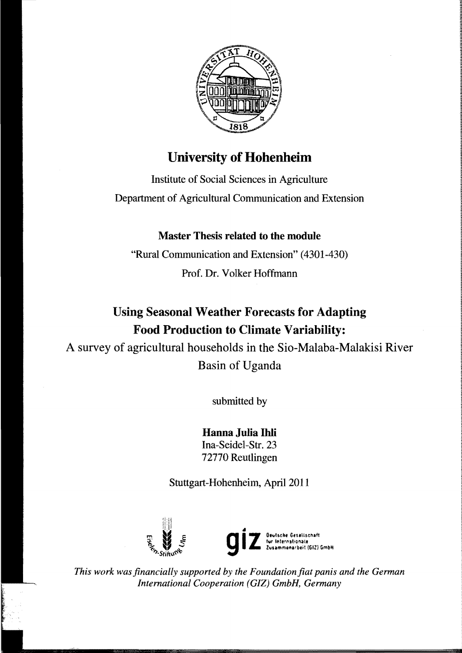

## University of **Hohenheim**

Institute of Social Sciences in Agriculture Department of Agricultural Communication and Extension

## Master Thesis related to the module

"Rural Communication and Extension" (4301-430) Prof. Dr. Volker Hoffmann

## Using Seasonal Weather Forecasts for Adapting Food Production to Climate Variability:

A survey of agricultural households in the Sio-Malaba-Malakisi River Basin of Uganda

submitted by

Hanna Julia Ihli Ina-Seidel-Str. 23 72770 Reutlingen

Stuttgart-Hohenheim, April 2011



This work was financially supported by the Foundation fiat panis and the German *International Cooperation (GIZ) GmbH, Germany*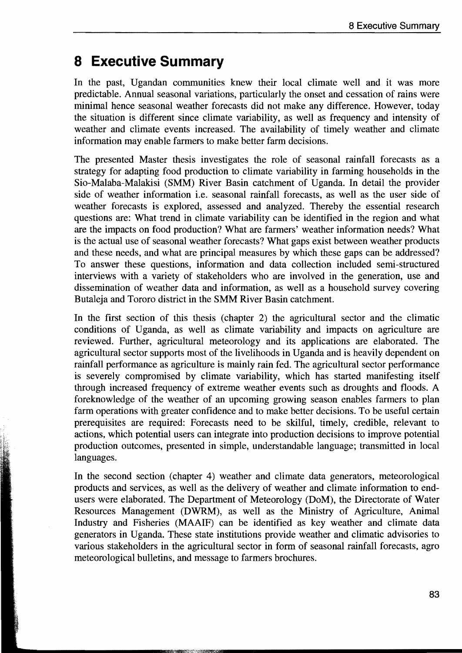## **8 Executive Summary**

In the past, Ugandan communities knew their local climate well and it was more predictable. Annual seasonal variations, particularly the onset and cessation of rains were minimal hence seasonal weather forecasts did not make any difference. However, today the situation is different since climate variability, as well as frequency and intensity of weather and climate events increased. The availability of timely weather and climate information may enable farmers to make better farm decisions.

The presented Master thesis investigates the role of seasonal rainfaIl forecasts as a strategy for adapting food production to climate variability in farming households in the Sio-Malaba-Malakisi (SMM) River Basin catchment of Uganda. In detail the provider side of weather information *i.e.* seasonal rainfall forecasts, as well as the user side of weather forecasts is explored, assessed and analyzed. Thereby the essential research questions are: What trend in climate variability can be identified in the region and what are the impacts on food production? What are farmers' weather information needs? What is the actual use of seasonal weather forecasts? What gaps exist between weather products and these needs, and what are principal measures by which these gaps can be addressed? To answer these questions, information and data collection included semi-structured interviews with a variety of stakeholders who are involved in the generation, use and dissemination of weather data and information, as weIl as a household survey covering Butaleja and Tororo district in the SMM River Basin catchment.

In the first section of this thesis (chapter 2) the agricultural sector and the climatic conditions of Uganda, as well as climate variability and impacts on agriculture are reviewed. Further, agricultural meteorology and its applications are elaborated. The agricultural sector supports most of the livelihoods in Uganda and is heavily dependent on rainfall performance as agriculture is mainly rain fed. The agricultural sector performance is severely compromised by climate variability, which has started manifesting itself through increased frequency of extreme weather events such as droughts and floods. A foreknowledge of the weather of an upcoming growing season enables farmers to plan farm operations with greater confidence and to make better decisions. To be useful certain prerequisites are required: Forecasts need to be skilful, timely, credible, relevant to actions, which potential users can integrate into production decisions to improve potential production outcomes, presented in simple, understandable language; transmitted in local languages.

In the second section (chapter 4) weather and climate data generators, meteorological products and services, as weIl as the delivery of weather and climate information to endusers were elaborated. The Department of Meteorology (DoM), the Directorate of Water Resources Management (DWRM), as well as the Ministry of Agriculture, Animal Industry and Fisheries (MAAIF) can be identified as key weather and climate data generators in Uganda. These state institutions provide weather and climatic advisories to various stakeholders in the agricultural sector in form of seasonal rainfall forecasts, agro meteorological bulletins, and message to farmers brochures.